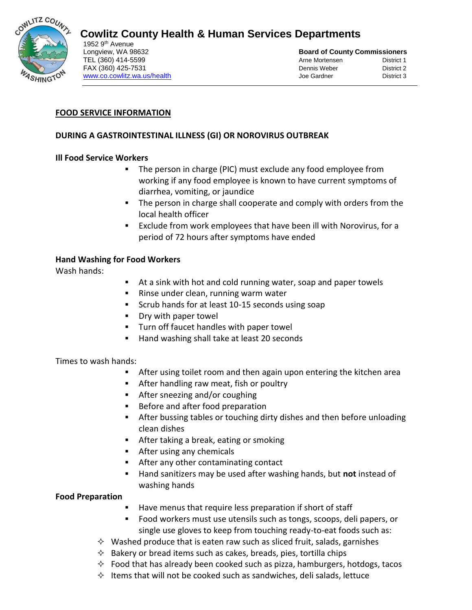

# **Cowlitz County Health & Human Services Departments**

1952 9<sup>th</sup> Avenue [www.co.cowlitz.wa.us/health](http://www.co.cowlitz.wa.us/health) Joe Gardner

Longview, WA 98632 **Board of County Commissioners** TEL (360) 414-5599 **Arne Mortensen** District 1 FAX (360) 425-7531 Dennis Weber District 2<br>
Why district 2<br>
Units and District 2<br>
De Gardner District 3

## **FOOD SERVICE INFORMATION**

## **DURING A GASTROINTESTINAL ILLNESS (GI) OR NOROVIRUS OUTBREAK**

#### **Ill Food Service Workers**

- The person in charge (PIC) must exclude any food employee from working if any food employee is known to have current symptoms of diarrhea, vomiting, or jaundice
- **The person in charge shall cooperate and comply with orders from the** local health officer
- Exclude from work employees that have been ill with Norovirus, for a period of 72 hours after symptoms have ended

#### **Hand Washing for Food Workers**

Wash hands:

- At a sink with hot and cold running water, soap and paper towels
- **Rinse under clean, running warm water**
- **Scrub hands for at least 10-15 seconds using soap**
- **Dry with paper towel**
- Turn off faucet handles with paper towel
- Hand washing shall take at least 20 seconds

#### Times to wash hands:

- **After using toilet room and then again upon entering the kitchen area**
- **After handling raw meat, fish or poultry**
- **After sneezing and/or coughing**
- Before and after food preparation
- After bussing tables or touching dirty dishes and then before unloading clean dishes
- **After taking a break, eating or smoking**
- **EXECUTE:** After using any chemicals
- After any other contaminating contact
- Hand sanitizers may be used after washing hands, but **not** instead of washing hands

**Food Preparation**

- Have menus that require less preparation if short of staff
- Food workers must use utensils such as tongs, scoops, deli papers, or single use gloves to keep from touching ready-to-eat foods such as:
- $\Diamond$  Washed produce that is eaten raw such as sliced fruit, salads, garnishes
- $\Diamond$  Bakery or bread items such as cakes, breads, pies, tortilla chips
- $\Diamond$  Food that has already been cooked such as pizza, hamburgers, hotdogs, tacos
- $\Diamond$  Items that will not be cooked such as sandwiches, deli salads, lettuce